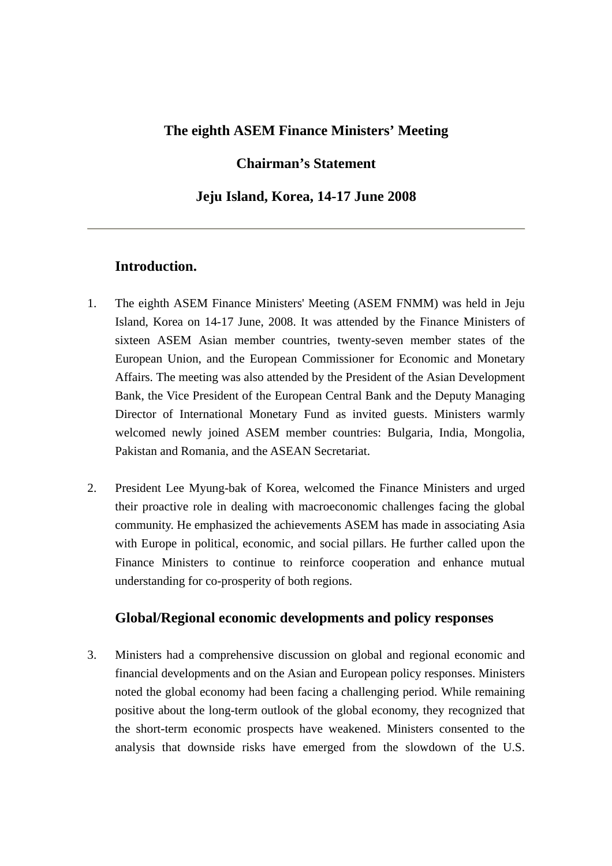## **The eighth ASEM Finance Ministers' Meeting**

## **Chairman's Statement**

### **Jeju Island, Korea, 14-17 June 2008**

## **Introduction.**

- 1. The eighth ASEM Finance Ministers' Meeting (ASEM FNMM) was held in Jeju Island, Korea on 14-17 June, 2008. It was attended by the Finance Ministers of sixteen ASEM Asian member countries, twenty-seven member states of the European Union, and the European Commissioner for Economic and Monetary Affairs. The meeting was also attended by the President of the Asian Development Bank, the Vice President of the European Central Bank and the Deputy Managing Director of International Monetary Fund as invited guests. Ministers warmly welcomed newly joined ASEM member countries: Bulgaria, India, Mongolia, Pakistan and Romania, and the ASEAN Secretariat.
- 2. President Lee Myung-bak of Korea, welcomed the Finance Ministers and urged their proactive role in dealing with macroeconomic challenges facing the global community. He emphasized the achievements ASEM has made in associating Asia with Europe in political, economic, and social pillars. He further called upon the Finance Ministers to continue to reinforce cooperation and enhance mutual understanding for co-prosperity of both regions.

### **Global/Regional economic developments and policy responses**

3. Ministers had a comprehensive discussion on global and regional economic and financial developments and on the Asian and European policy responses. Ministers noted the global economy had been facing a challenging period. While remaining positive about the long-term outlook of the global economy, they recognized that the short-term economic prospects have weakened. Ministers consented to the analysis that downside risks have emerged from the slowdown of the U.S.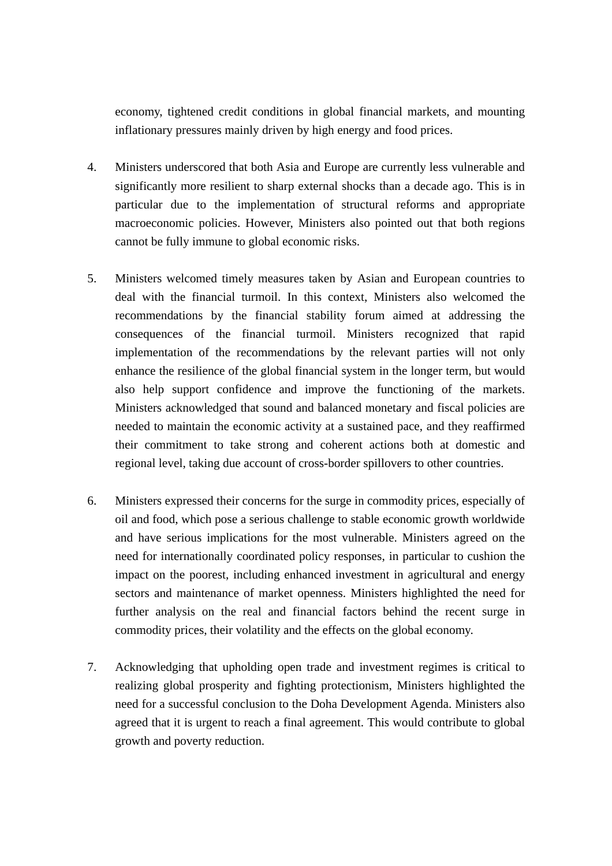economy, tightened credit conditions in global financial markets, and mounting inflationary pressures mainly driven by high energy and food prices.

- 4. Ministers underscored that both Asia and Europe are currently less vulnerable and significantly more resilient to sharp external shocks than a decade ago. This is in particular due to the implementation of structural reforms and appropriate macroeconomic policies. However, Ministers also pointed out that both regions cannot be fully immune to global economic risks.
- 5. Ministers welcomed timely measures taken by Asian and European countries to deal with the financial turmoil. In this context, Ministers also welcomed the recommendations by the financial stability forum aimed at addressing the consequences of the financial turmoil. Ministers recognized that rapid implementation of the recommendations by the relevant parties will not only enhance the resilience of the global financial system in the longer term, but would also help support confidence and improve the functioning of the markets. Ministers acknowledged that sound and balanced monetary and fiscal policies are needed to maintain the economic activity at a sustained pace, and they reaffirmed their commitment to take strong and coherent actions both at domestic and regional level, taking due account of cross-border spillovers to other countries.
- 6. Ministers expressed their concerns for the surge in commodity prices, especially of oil and food, which pose a serious challenge to stable economic growth worldwide and have serious implications for the most vulnerable. Ministers agreed on the need for internationally coordinated policy responses, in particular to cushion the impact on the poorest, including enhanced investment in agricultural and energy sectors and maintenance of market openness. Ministers highlighted the need for further analysis on the real and financial factors behind the recent surge in commodity prices, their volatility and the effects on the global economy.
- 7. Acknowledging that upholding open trade and investment regimes is critical to realizing global prosperity and fighting protectionism, Ministers highlighted the need for a successful conclusion to the Doha Development Agenda. Ministers also agreed that it is urgent to reach a final agreement. This would contribute to global growth and poverty reduction.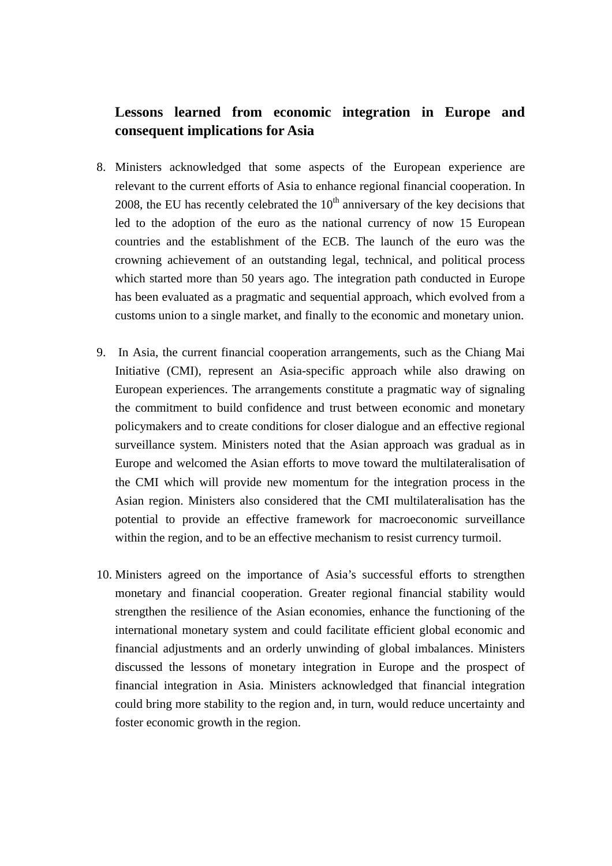# **Lessons learned from economic integration in Europe and consequent implications for Asia**

- 8. Ministers acknowledged that some aspects of the European experience are relevant to the current efforts of Asia to enhance regional financial cooperation. In 2008, the EU has recently celebrated the  $10<sup>th</sup>$  anniversary of the key decisions that led to the adoption of the euro as the national currency of now 15 European countries and the establishment of the ECB. The launch of the euro was the crowning achievement of an outstanding legal, technical, and political process which started more than 50 years ago. The integration path conducted in Europe has been evaluated as a pragmatic and sequential approach, which evolved from a customs union to a single market, and finally to the economic and monetary union.
- 9. In Asia, the current financial cooperation arrangements, such as the Chiang Mai Initiative (CMI), represent an Asia-specific approach while also drawing on European experiences. The arrangements constitute a pragmatic way of signaling the commitment to build confidence and trust between economic and monetary policymakers and to create conditions for closer dialogue and an effective regional surveillance system. Ministers noted that the Asian approach was gradual as in Europe and welcomed the Asian efforts to move toward the multilateralisation of the CMI which will provide new momentum for the integration process in the Asian region. Ministers also considered that the CMI multilateralisation has the potential to provide an effective framework for macroeconomic surveillance within the region, and to be an effective mechanism to resist currency turmoil.
- 10. Ministers agreed on the importance of Asia's successful efforts to strengthen monetary and financial cooperation. Greater regional financial stability would strengthen the resilience of the Asian economies, enhance the functioning of the international monetary system and could facilitate efficient global economic and financial adjustments and an orderly unwinding of global imbalances. Ministers discussed the lessons of monetary integration in Europe and the prospect of financial integration in Asia. Ministers acknowledged that financial integration could bring more stability to the region and, in turn, would reduce uncertainty and foster economic growth in the region.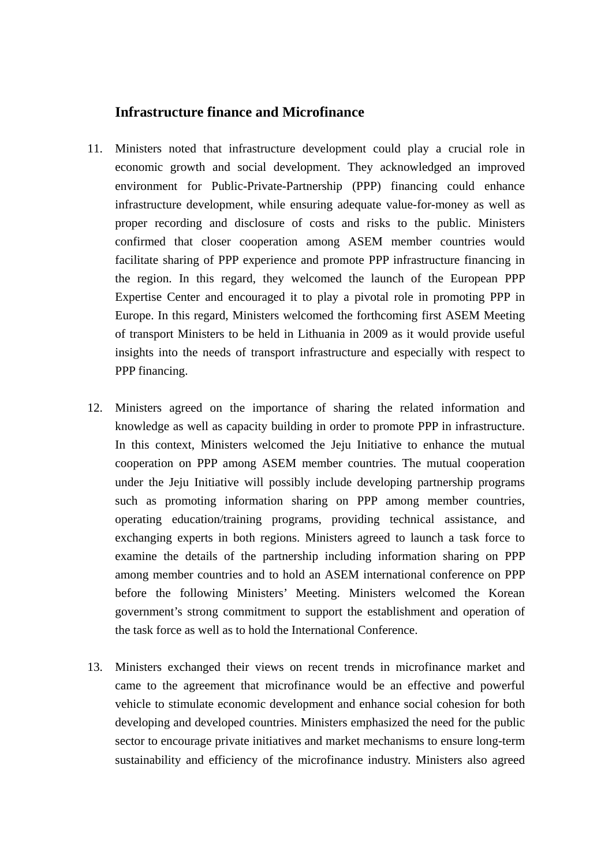### **Infrastructure finance and Microfinance**

- 11. Ministers noted that infrastructure development could play a crucial role in economic growth and social development. They acknowledged an improved environment for Public-Private-Partnership (PPP) financing could enhance infrastructure development, while ensuring adequate value-for-money as well as proper recording and disclosure of costs and risks to the public. Ministers confirmed that closer cooperation among ASEM member countries would facilitate sharing of PPP experience and promote PPP infrastructure financing in the region. In this regard, they welcomed the launch of the European PPP Expertise Center and encouraged it to play a pivotal role in promoting PPP in Europe. In this regard, Ministers welcomed the forthcoming first ASEM Meeting of transport Ministers to be held in Lithuania in 2009 as it would provide useful insights into the needs of transport infrastructure and especially with respect to PPP financing.
- 12. Ministers agreed on the importance of sharing the related information and knowledge as well as capacity building in order to promote PPP in infrastructure. In this context, Ministers welcomed the Jeju Initiative to enhance the mutual cooperation on PPP among ASEM member countries. The mutual cooperation under the Jeju Initiative will possibly include developing partnership programs such as promoting information sharing on PPP among member countries, operating education/training programs, providing technical assistance, and exchanging experts in both regions. Ministers agreed to launch a task force to examine the details of the partnership including information sharing on PPP among member countries and to hold an ASEM international conference on PPP before the following Ministers' Meeting. Ministers welcomed the Korean government's strong commitment to support the establishment and operation of the task force as well as to hold the International Conference.
- 13. Ministers exchanged their views on recent trends in microfinance market and came to the agreement that microfinance would be an effective and powerful vehicle to stimulate economic development and enhance social cohesion for both developing and developed countries. Ministers emphasized the need for the public sector to encourage private initiatives and market mechanisms to ensure long-term sustainability and efficiency of the microfinance industry. Ministers also agreed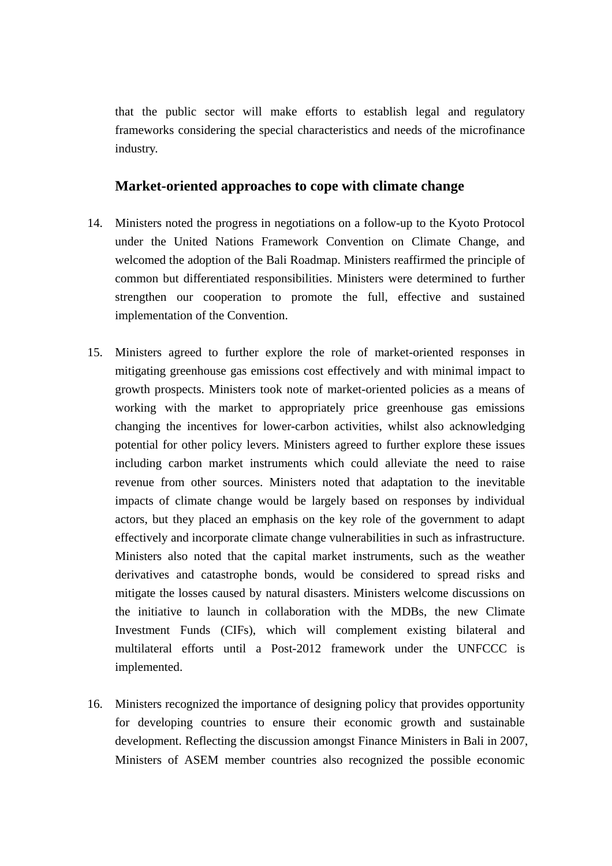that the public sector will make efforts to establish legal and regulatory frameworks considering the special characteristics and needs of the microfinance industry.

### **Market-oriented approaches to cope with climate change**

- 14. Ministers noted the progress in negotiations on a follow-up to the Kyoto Protocol under the United Nations Framework Convention on Climate Change, and welcomed the adoption of the Bali Roadmap. Ministers reaffirmed the principle of common but differentiated responsibilities. Ministers were determined to further strengthen our cooperation to promote the full, effective and sustained implementation of the Convention.
- 15. Ministers agreed to further explore the role of market-oriented responses in mitigating greenhouse gas emissions cost effectively and with minimal impact to growth prospects. Ministers took note of market-oriented policies as a means of working with the market to appropriately price greenhouse gas emissions changing the incentives for lower-carbon activities, whilst also acknowledging potential for other policy levers. Ministers agreed to further explore these issues including carbon market instruments which could alleviate the need to raise revenue from other sources. Ministers noted that adaptation to the inevitable impacts of climate change would be largely based on responses by individual actors, but they placed an emphasis on the key role of the government to adapt effectively and incorporate climate change vulnerabilities in such as infrastructure. Ministers also noted that the capital market instruments, such as the weather derivatives and catastrophe bonds, would be considered to spread risks and mitigate the losses caused by natural disasters. Ministers welcome discussions on the initiative to launch in collaboration with the MDBs, the new Climate Investment Funds (CIFs), which will complement existing bilateral and multilateral efforts until a Post-2012 framework under the UNFCCC is implemented.
- 16. Ministers recognized the importance of designing policy that provides opportunity for developing countries to ensure their economic growth and sustainable development. Reflecting the discussion amongst Finance Ministers in Bali in 2007, Ministers of ASEM member countries also recognized the possible economic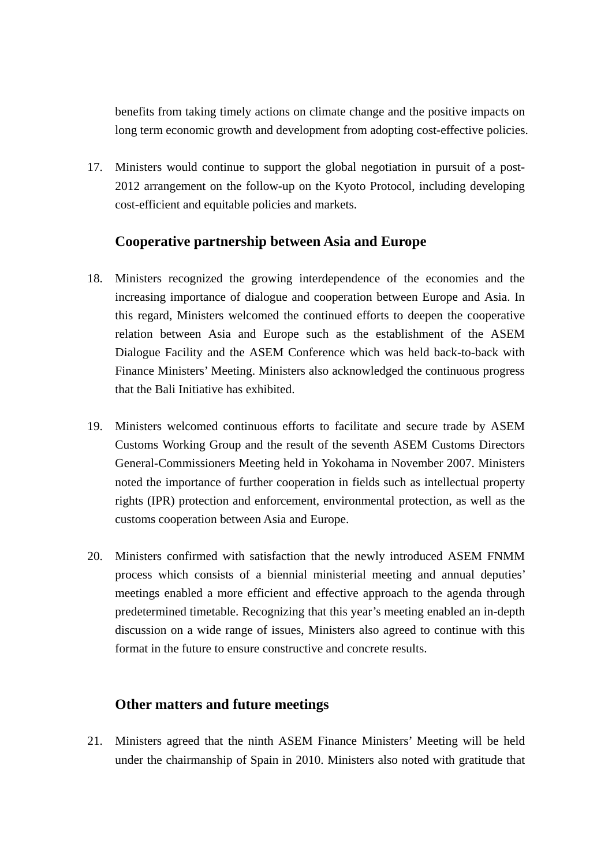benefits from taking timely actions on climate change and the positive impacts on long term economic growth and development from adopting cost-effective policies.

17. Ministers would continue to support the global negotiation in pursuit of a post-2012 arrangement on the follow-up on the Kyoto Protocol, including developing cost-efficient and equitable policies and markets.

# **Cooperative partnership between Asia and Europe**

- 18. Ministers recognized the growing interdependence of the economies and the increasing importance of dialogue and cooperation between Europe and Asia. In this regard, Ministers welcomed the continued efforts to deepen the cooperative relation between Asia and Europe such as the establishment of the ASEM Dialogue Facility and the ASEM Conference which was held back-to-back with Finance Ministers' Meeting. Ministers also acknowledged the continuous progress that the Bali Initiative has exhibited.
- 19. Ministers welcomed continuous efforts to facilitate and secure trade by ASEM Customs Working Group and the result of the seventh ASEM Customs Directors General-Commissioners Meeting held in Yokohama in November 2007. Ministers noted the importance of further cooperation in fields such as intellectual property rights (IPR) protection and enforcement, environmental protection, as well as the customs cooperation between Asia and Europe.
- 20. Ministers confirmed with satisfaction that the newly introduced ASEM FNMM process which consists of a biennial ministerial meeting and annual deputies' meetings enabled a more efficient and effective approach to the agenda through predetermined timetable. Recognizing that this year's meeting enabled an in-depth discussion on a wide range of issues, Ministers also agreed to continue with this format in the future to ensure constructive and concrete results.

## **Other matters and future meetings**

21. Ministers agreed that the ninth ASEM Finance Ministers' Meeting will be held under the chairmanship of Spain in 2010. Ministers also noted with gratitude that